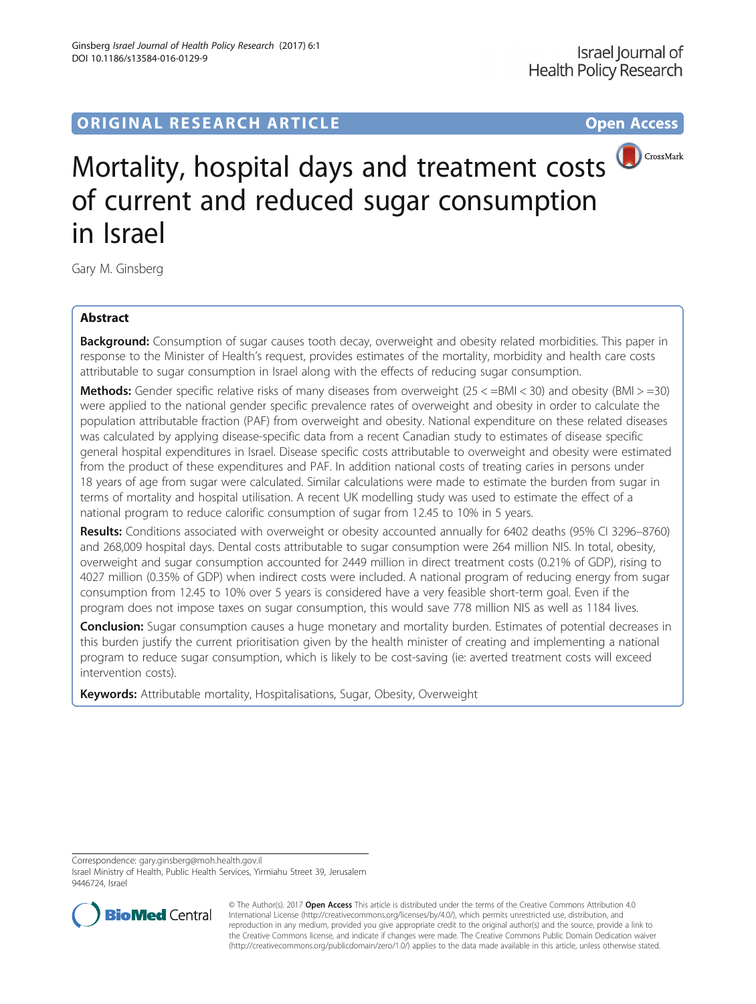# **ORIGINAL RESEARCH ARTICLE CONSUMING ACCESS**



# Mortality, hospital days and treatment costs of current and reduced sugar consumption in Israel

Gary M. Ginsberg

# Abstract

**Background:** Consumption of sugar causes tooth decay, overweight and obesity related morbidities. This paper in response to the Minister of Health's request, provides estimates of the mortality, morbidity and health care costs attributable to sugar consumption in Israel along with the effects of reducing sugar consumption.

**Methods:** Gender specific relative risks of many diseases from overweight ( $25 < \text{=}BM < 30$ ) and obesity (BMI  $> =30$ ) were applied to the national gender specific prevalence rates of overweight and obesity in order to calculate the population attributable fraction (PAF) from overweight and obesity. National expenditure on these related diseases was calculated by applying disease-specific data from a recent Canadian study to estimates of disease specific general hospital expenditures in Israel. Disease specific costs attributable to overweight and obesity were estimated from the product of these expenditures and PAF. In addition national costs of treating caries in persons under 18 years of age from sugar were calculated. Similar calculations were made to estimate the burden from sugar in terms of mortality and hospital utilisation. A recent UK modelling study was used to estimate the effect of a national program to reduce calorific consumption of sugar from 12.45 to 10% in 5 years.

Results: Conditions associated with overweight or obesity accounted annually for 6402 deaths (95% CI 3296-8760) and 268,009 hospital days. Dental costs attributable to sugar consumption were 264 million NIS. In total, obesity, overweight and sugar consumption accounted for 2449 million in direct treatment costs (0.21% of GDP), rising to 4027 million (0.35% of GDP) when indirect costs were included. A national program of reducing energy from sugar consumption from 12.45 to 10% over 5 years is considered have a very feasible short-term goal. Even if the program does not impose taxes on sugar consumption, this would save 778 million NIS as well as 1184 lives.

**Conclusion:** Sugar consumption causes a huge monetary and mortality burden. Estimates of potential decreases in this burden justify the current prioritisation given by the health minister of creating and implementing a national program to reduce sugar consumption, which is likely to be cost-saving (ie: averted treatment costs will exceed intervention costs).

Keywords: Attributable mortality, Hospitalisations, Sugar, Obesity, Overweight

Correspondence: [gary.ginsberg@moh.health.gov.il](mailto:gary.ginsberg@moh.health.gov.il)

Israel Ministry of Health, Public Health Services, Yirmiahu Street 39, Jerusalem 9446724, Israel



© The Author(s). 2017 **Open Access** This article is distributed under the terms of the Creative Commons Attribution 4.0 International License [\(http://creativecommons.org/licenses/by/4.0/](http://creativecommons.org/licenses/by/4.0/)), which permits unrestricted use, distribution, and reproduction in any medium, provided you give appropriate credit to the original author(s) and the source, provide a link to the Creative Commons license, and indicate if changes were made. The Creative Commons Public Domain Dedication waiver [\(http://creativecommons.org/publicdomain/zero/1.0/](http://creativecommons.org/publicdomain/zero/1.0/)) applies to the data made available in this article, unless otherwise stated.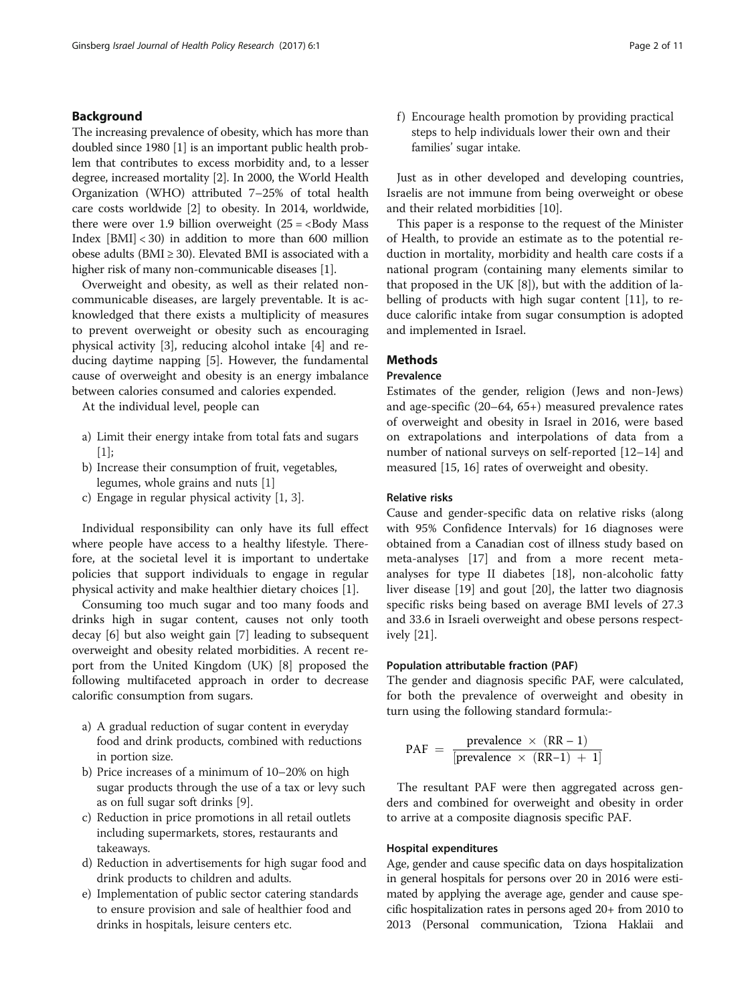## Background

The increasing prevalence of obesity, which has more than doubled since 1980 [\[1](#page-9-0)] is an important public health problem that contributes to excess morbidity and, to a lesser degree, increased mortality [[2\]](#page-9-0). In 2000, the World Health Organization (WHO) attributed 7–25% of total health care costs worldwide [\[2](#page-9-0)] to obesity. In 2014, worldwide, there were over 1.9 billion overweight  $(25 = **Body Mass**)$ Index [BMI] < 30) in addition to more than 600 million obese adults (BMI  $\geq$  30). Elevated BMI is associated with a higher risk of many non-communicable diseases [\[1](#page-9-0)].

Overweight and obesity, as well as their related noncommunicable diseases, are largely preventable. It is acknowledged that there exists a multiplicity of measures to prevent overweight or obesity such as encouraging physical activity [\[3](#page-9-0)], reducing alcohol intake [\[4\]](#page-9-0) and reducing daytime napping [\[5](#page-9-0)]. However, the fundamental cause of overweight and obesity is an energy imbalance between calories consumed and calories expended.

At the individual level, people can

- a) Limit their energy intake from total fats and sugars  $[1]$  $[1]$ ;
- b) Increase their consumption of fruit, vegetables, legumes, whole grains and nuts [\[1\]](#page-9-0)
- c) Engage in regular physical activity [[1](#page-9-0), [3](#page-9-0)].

Individual responsibility can only have its full effect where people have access to a healthy lifestyle. Therefore, at the societal level it is important to undertake policies that support individuals to engage in regular physical activity and make healthier dietary choices [[1\]](#page-9-0).

Consuming too much sugar and too many foods and drinks high in sugar content, causes not only tooth decay [\[6](#page-9-0)] but also weight gain [[7](#page-9-0)] leading to subsequent overweight and obesity related morbidities. A recent report from the United Kingdom (UK) [[8\]](#page-9-0) proposed the following multifaceted approach in order to decrease calorific consumption from sugars.

- a) A gradual reduction of sugar content in everyday food and drink products, combined with reductions in portion size.
- b) Price increases of a minimum of 10–20% on high sugar products through the use of a tax or levy such as on full sugar soft drinks [\[9](#page-9-0)].
- c) Reduction in price promotions in all retail outlets including supermarkets, stores, restaurants and takeaways.
- d) Reduction in advertisements for high sugar food and drink products to children and adults.
- e) Implementation of public sector catering standards to ensure provision and sale of healthier food and drinks in hospitals, leisure centers etc.

f) Encourage health promotion by providing practical steps to help individuals lower their own and their families' sugar intake.

Just as in other developed and developing countries, Israelis are not immune from being overweight or obese and their related morbidities [[10\]](#page-9-0).

This paper is a response to the request of the Minister of Health, to provide an estimate as to the potential reduction in mortality, morbidity and health care costs if a national program (containing many elements similar to that proposed in the UK [[8\]](#page-9-0)), but with the addition of labelling of products with high sugar content [[11](#page-9-0)], to reduce calorific intake from sugar consumption is adopted and implemented in Israel.

# Methods

## Prevalence

Estimates of the gender, religion (Jews and non-Jews) and age-specific (20–64, 65+) measured prevalence rates of overweight and obesity in Israel in 2016, were based on extrapolations and interpolations of data from a number of national surveys on self-reported [[12](#page-9-0)–[14](#page-9-0)] and measured [\[15](#page-9-0), [16\]](#page-9-0) rates of overweight and obesity.

## Relative risks

Cause and gender-specific data on relative risks (along with 95% Confidence Intervals) for 16 diagnoses were obtained from a Canadian cost of illness study based on meta-analyses [\[17\]](#page-9-0) and from a more recent metaanalyses for type II diabetes [\[18\]](#page-9-0), non-alcoholic fatty liver disease [[19](#page-9-0)] and gout [[20\]](#page-9-0), the latter two diagnosis specific risks being based on average BMI levels of 27.3 and 33.6 in Israeli overweight and obese persons respectively [\[21](#page-9-0)].

#### Population attributable fraction (PAF)

The gender and diagnosis specific PAF, were calculated, for both the prevalence of overweight and obesity in turn using the following standard formula:-

$$
PAF = \frac{prevalence \times (RR - 1)}{[prevalence \times (RR - 1) + 1]}
$$

The resultant PAF were then aggregated across genders and combined for overweight and obesity in order to arrive at a composite diagnosis specific PAF.

#### Hospital expenditures

Age, gender and cause specific data on days hospitalization in general hospitals for persons over 20 in 2016 were estimated by applying the average age, gender and cause specific hospitalization rates in persons aged 20+ from 2010 to 2013 (Personal communication, Tziona Haklaii and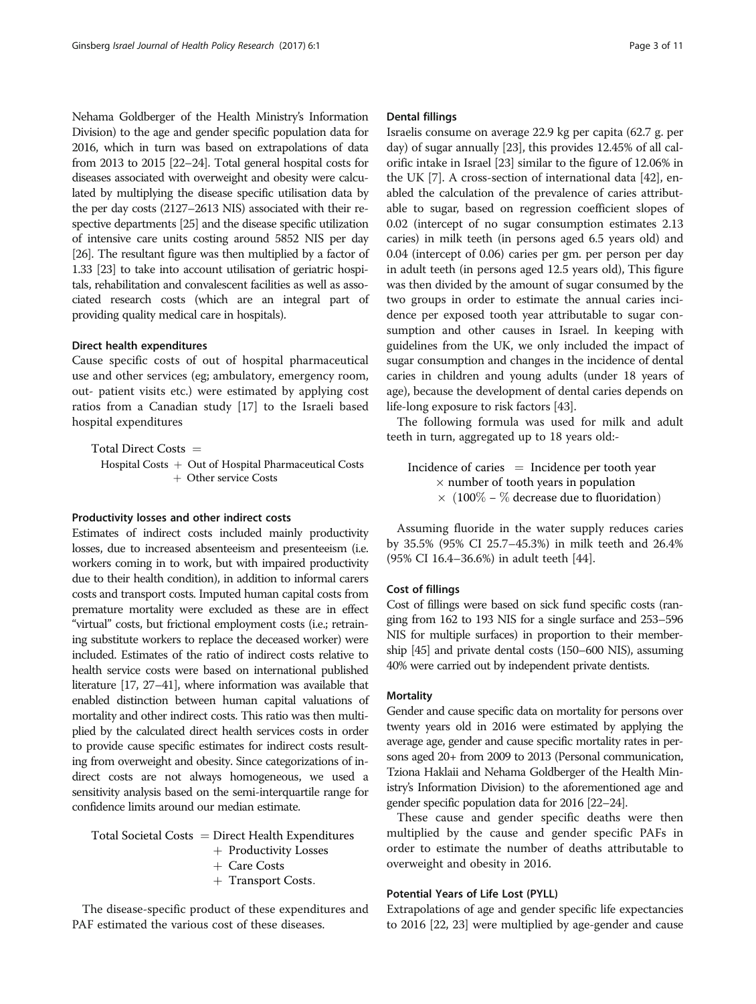Nehama Goldberger of the Health Ministry's Information Division) to the age and gender specific population data for 2016, which in turn was based on extrapolations of data from 2013 to 2015 [\[22](#page-9-0)–[24\]](#page-10-0). Total general hospital costs for diseases associated with overweight and obesity were calculated by multiplying the disease specific utilisation data by the per day costs (2127–2613 NIS) associated with their respective departments [\[25\]](#page-10-0) and the disease specific utilization of intensive care units costing around 5852 NIS per day [[26](#page-10-0)]. The resultant figure was then multiplied by a factor of 1.33 [\[23](#page-10-0)] to take into account utilisation of geriatric hospitals, rehabilitation and convalescent facilities as well as associated research costs (which are an integral part of providing quality medical care in hospitals).

## Direct health expenditures

Cause specific costs of out of hospital pharmaceutical use and other services (eg; ambulatory, emergency room, out- patient visits etc.) were estimated by applying cost ratios from a Canadian study [\[17](#page-9-0)] to the Israeli based hospital expenditures

Total Direct Costs  $=$ Hospital Costs  $+$  Out of Hospital Pharmaceutical Costs + Other service Costs

#### Productivity losses and other indirect costs

Estimates of indirect costs included mainly productivity losses, due to increased absenteeism and presenteeism (i.e. workers coming in to work, but with impaired productivity due to their health condition), in addition to informal carers costs and transport costs. Imputed human capital costs from premature mortality were excluded as these are in effect "virtual" costs, but frictional employment costs (i.e.; retraining substitute workers to replace the deceased worker) were included. Estimates of the ratio of indirect costs relative to health service costs were based on international published literature [\[17](#page-9-0), [27](#page-10-0)–[41\]](#page-10-0), where information was available that enabled distinction between human capital valuations of mortality and other indirect costs. This ratio was then multiplied by the calculated direct health services costs in order to provide cause specific estimates for indirect costs resulting from overweight and obesity. Since categorizations of indirect costs are not always homogeneous, we used a sensitivity analysis based on the semi-interquartile range for confidence limits around our median estimate.

 $Total Social Costs = Direct Health Expenditures$ 

- þ Productivity Losses
- þ Care Costs
- + Transport Costs.

The disease-specific product of these expenditures and PAF estimated the various cost of these diseases.

### Dental fillings

Israelis consume on average 22.9 kg per capita (62.7 g. per day) of sugar annually [[23\]](#page-10-0), this provides 12.45% of all calorific intake in Israel [[23](#page-10-0)] similar to the figure of 12.06% in the UK [\[7](#page-9-0)]. A cross-section of international data [\[42\]](#page-10-0), enabled the calculation of the prevalence of caries attributable to sugar, based on regression coefficient slopes of 0.02 (intercept of no sugar consumption estimates 2.13 caries) in milk teeth (in persons aged 6.5 years old) and 0.04 (intercept of 0.06) caries per gm. per person per day in adult teeth (in persons aged 12.5 years old), This figure was then divided by the amount of sugar consumed by the two groups in order to estimate the annual caries incidence per exposed tooth year attributable to sugar consumption and other causes in Israel. In keeping with guidelines from the UK, we only included the impact of sugar consumption and changes in the incidence of dental caries in children and young adults (under 18 years of age), because the development of dental caries depends on life-long exposure to risk factors [\[43](#page-10-0)].

The following formula was used for milk and adult teeth in turn, aggregated up to 18 years old:-

Incidence of caries  $=$  Incidence per tooth year  $\times$  number of tooth years in population  $\times$  (100% – % decrease due to fluoridation)

Assuming fluoride in the water supply reduces caries by 35.5% (95% CI 25.7–45.3%) in milk teeth and 26.4% (95% CI 16.4–36.6%) in adult teeth [\[44\]](#page-10-0).

#### Cost of fillings

Cost of fillings were based on sick fund specific costs (ranging from 162 to 193 NIS for a single surface and 253–596 NIS for multiple surfaces) in proportion to their membership [\[45](#page-10-0)] and private dental costs (150–600 NIS), assuming 40% were carried out by independent private dentists.

## **Mortality**

Gender and cause specific data on mortality for persons over twenty years old in 2016 were estimated by applying the average age, gender and cause specific mortality rates in persons aged 20+ from 2009 to 2013 (Personal communication, Tziona Haklaii and Nehama Goldberger of the Health Ministry's Information Division) to the aforementioned age and gender specific population data for 2016 [\[22](#page-9-0)–[24\]](#page-10-0).

These cause and gender specific deaths were then multiplied by the cause and gender specific PAFs in order to estimate the number of deaths attributable to overweight and obesity in 2016.

#### Potential Years of Life Lost (PYLL)

Extrapolations of age and gender specific life expectancies to 2016 [[22](#page-9-0), [23](#page-10-0)] were multiplied by age-gender and cause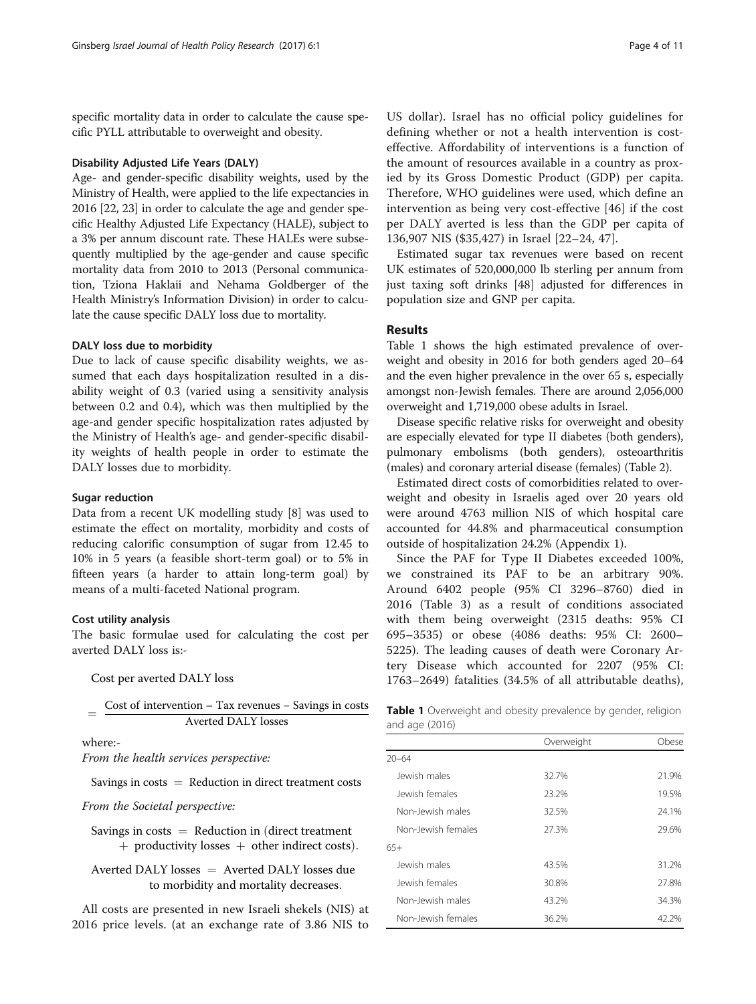specific mortality data in order to calculate the cause specific PYLL attributable to overweight and obesity.

#### Disability Adjusted Life Years (DALY)

Age- and gender-specific disability weights, used by the Ministry of Health, were applied to the life expectancies in 2016 [[22](#page-9-0), [23\]](#page-10-0) in order to calculate the age and gender specific Healthy Adjusted Life Expectancy (HALE), subject to a 3% per annum discount rate. These HALEs were subsequently multiplied by the age-gender and cause specific mortality data from 2010 to 2013 (Personal communication, Tziona Haklaii and Nehama Goldberger of the Health Ministry's Information Division) in order to calculate the cause specific DALY loss due to mortality.

## DALY loss due to morbidity

Due to lack of cause specific disability weights, we assumed that each days hospitalization resulted in a disability weight of 0.3 (varied using a sensitivity analysis between 0.2 and 0.4), which was then multiplied by the age-and gender specific hospitalization rates adjusted by the Ministry of Health's age- and gender-specific disability weights of health people in order to estimate the DALY losses due to morbidity.

#### Sugar reduction

Data from a recent UK modelling study [[8\]](#page-9-0) was used to estimate the effect on mortality, morbidity and costs of reducing calorific consumption of sugar from 12.45 to 10% in 5 years (a feasible short-term goal) or to 5% in fifteen years (a harder to attain long-term goal) by means of a multi-faceted National program.

#### Cost utility analysis

The basic formulae used for calculating the cost per averted DALY loss is:-

#### Cost per averted DALY loss

$$
= \frac{\text{Cost of intervention} - \text{Tax revenues} - \text{Savings in costs}}{\text{Averted DALY losses}}
$$

where:-

From the health services perspective:

Savings in  $costs = Reduction$  in direct treatment costs

From the Societal perspective:

Savings in  $costs = Reduction$  in (direct treatment  $+$  productivity losses  $+$  other indirect costs).

Averted DALY losses  $=$  Averted DALY losses due to morbidity and mortality decreases:

All costs are presented in new Israeli shekels (NIS) at 2016 price levels. (at an exchange rate of 3.86 NIS to US dollar). Israel has no official policy guidelines for defining whether or not a health intervention is costeffective. Affordability of interventions is a function of the amount of resources available in a country as proxied by its Gross Domestic Product (GDP) per capita. Therefore, WHO guidelines were used, which define an intervention as being very cost-effective [[46](#page-10-0)] if the cost per DALY averted is less than the GDP per capita of 136,907 NIS (\$35,427) in Israel [\[22](#page-9-0)–[24](#page-10-0), [47\]](#page-10-0).

Estimated sugar tax revenues were based on recent UK estimates of 520,000,000 lb sterling per annum from just taxing soft drinks [\[48\]](#page-10-0) adjusted for differences in population size and GNP per capita.

## Results

Table 1 shows the high estimated prevalence of overweight and obesity in 2016 for both genders aged 20–64 and the even higher prevalence in the over 65 s, especially amongst non-Jewish females. There are around 2,056,000 overweight and 1,719,000 obese adults in Israel.

Disease specific relative risks for overweight and obesity are especially elevated for type II diabetes (both genders), pulmonary embolisms (both genders), osteoarthritis (males) and coronary arterial disease (females) (Table [2](#page-4-0)).

Estimated direct costs of comorbidities related to overweight and obesity in Israelis aged over 20 years old were around 4763 million NIS of which hospital care accounted for 44.8% and pharmaceutical consumption outside of hospitalization 24.2% ([Appendix 1\)](#page-8-0).

Since the PAF for Type II Diabetes exceeded 100%, we constrained its PAF to be an arbitrary 90%. Around 6402 people (95% CI 3296–8760) died in 2016 (Table [3\)](#page-4-0) as a result of conditions associated with them being overweight (2315 deaths: 95% CI 695–3535) or obese (4086 deaths: 95% CI: 2600– 5225). The leading causes of death were Coronary Artery Disease which accounted for 2207 (95% CI: 1763–2649) fatalities (34.5% of all attributable deaths),

Table 1 Overweight and obesity prevalence by gender, religion and age (2016)

|                    | Overweight | Ohese |
|--------------------|------------|-------|
| $20 - 64$          |            |       |
| Jewish males       | 32.7%      | 21.9% |
| Jewish females     | 23.2%      | 19.5% |
| Non-Jewish males   | 32.5%      | 24.1% |
| Non-Jewish females | 27.3%      | 29.6% |
| 65+                |            |       |
| Jewish males       | 43.5%      | 31.2% |
| Jewish females     | 30.8%      | 27.8% |
| Non-Jewish males   | 43.2%      | 34.3% |
| Non-Jewish females | 36.2%      | 42.2% |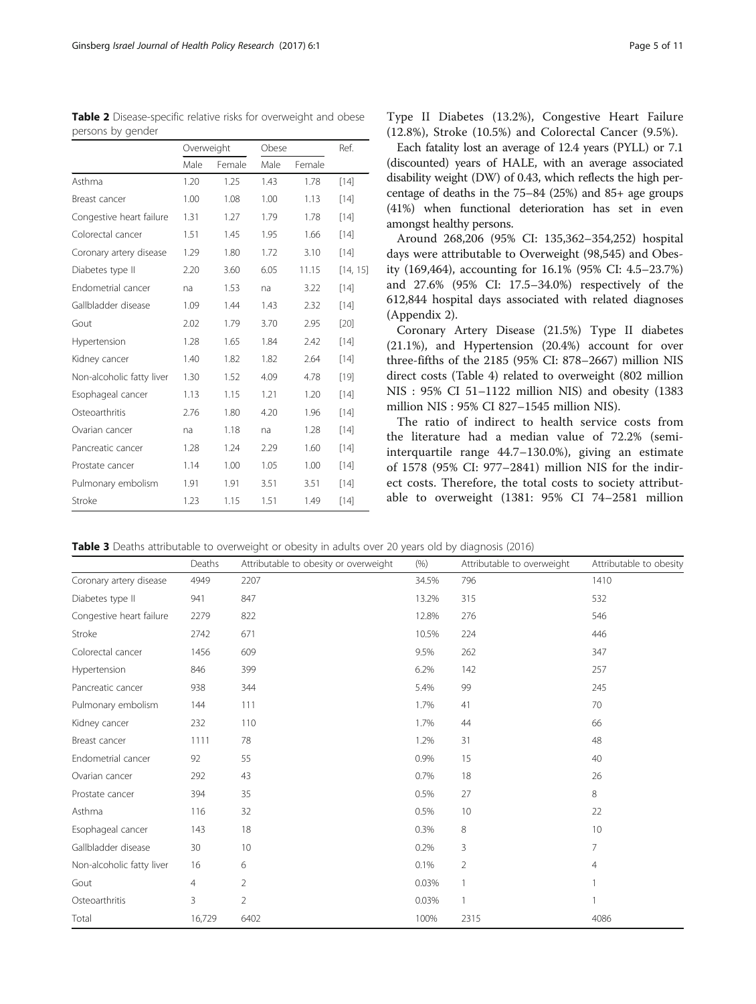|                           | Overweight |        | Obese |        | Ref.     |
|---------------------------|------------|--------|-------|--------|----------|
|                           | Male       | Female | Male  | Female |          |
| Asthma                    | 1.20       | 1.25   | 1.43  | 1.78   | $[14]$   |
| Breast cancer             | 1.00       | 1.08   | 1.00  | 1.13   | [14]     |
| Congestive heart failure  | 1.31       | 1.27   | 1.79  | 1.78   | [14]     |
| Colorectal cancer         | 1.51       | 1.45   | 1.95  | 1.66   | [14]     |
| Coronary artery disease   | 1.29       | 1.80   | 1.72  | 3.10   | $[14]$   |
| Diabetes type II          | 2.20       | 3.60   | 6.05  | 11.15  | [14, 15] |
| Endometrial cancer        | na         | 1.53   | na    | 3.22   | [14]     |
| Gallbladder disease       | 1.09       | 1.44   | 1.43  | 2.32   | [14]     |
| Gout                      | 2.02       | 1.79   | 3.70  | 2.95   | [20]     |
| Hypertension              | 1.28       | 1.65   | 1.84  | 2.42   | [14]     |
| Kidney cancer             | 1.40       | 1.82   | 1.82  | 2.64   | $[14]$   |
| Non-alcoholic fatty liver | 1.30       | 1.52   | 4.09  | 4.78   | [19]     |
| Esophageal cancer         | 1.13       | 1.15   | 1.21  | 1.20   | [14]     |
| Osteoarthritis            | 2.76       | 1.80   | 4.20  | 1.96   | [14]     |
| Ovarian cancer            | na         | 1.18   | na    | 1.28   | [14]     |
| Pancreatic cancer         | 1.28       | 1.24   | 2.29  | 1.60   | [14]     |
| Prostate cancer           | 1.14       | 1.00   | 1.05  | 1.00   | [14]     |
| Pulmonary embolism        | 1.91       | 1.91   | 3.51  | 3.51   | $[14]$   |
| Stroke                    | 1.23       | 1.15   | 1.51  | 1.49   | [14]     |

<span id="page-4-0"></span>Table 2 Disease-specific relative risks for overweight and obese persons by gender

Each fatality lost an average of 12.4 years (PYLL) or 7.1 (discounted) years of HALE, with an average associated disability weight (DW) of 0.43, which reflects the high percentage of deaths in the 75–84 (25%) and 85+ age groups (41%) when functional deterioration has set in even amongst healthy persons.

Around 268,206 (95% CI: 135,362–354,252) hospital days were attributable to Overweight (98,545) and Obesity (169,464), accounting for 16.1% (95% CI: 4.5–23.7%) and 27.6% (95% CI: 17.5–34.0%) respectively of the 612,844 hospital days associated with related diagnoses ([Appendix 2\)](#page-8-0).

Coronary Artery Disease (21.5%) Type II diabetes (21.1%), and Hypertension (20.4%) account for over three-fifths of the 2185 (95% CI: 878–2667) million NIS direct costs (Table [4\)](#page-5-0) related to overweight (802 million NIS : 95% CI 51–1122 million NIS) and obesity (1383 million NIS : 95% CI 827–1545 million NIS).

The ratio of indirect to health service costs from the literature had a median value of 72.2% (semiinterquartile range 44.7–130.0%), giving an estimate of 1578 (95% CI: 977–2841) million NIS for the indirect costs. Therefore, the total costs to society attributable to overweight (1381: 95% CI 74–2581 million

**Table 3** Deaths attributable to overweight or obesity in adults over 20 years old by diagnosis (2016)

|                           | Deaths         | Attributable to obesity or overweight | (9/6) | Attributable to overweight | Attributable to obesity |
|---------------------------|----------------|---------------------------------------|-------|----------------------------|-------------------------|
| Coronary artery disease   | 4949           | 2207                                  | 34.5% | 796                        | 1410                    |
| Diabetes type II          | 941            | 847                                   | 13.2% | 315                        | 532                     |
| Congestive heart failure  | 2279           | 822                                   | 12.8% | 276                        | 546                     |
| Stroke                    | 2742           | 671                                   | 10.5% | 224                        | 446                     |
| Colorectal cancer         | 1456           | 609                                   | 9.5%  | 262                        | 347                     |
| Hypertension              | 846            | 399                                   | 6.2%  | 142                        | 257                     |
| Pancreatic cancer         | 938            | 344                                   | 5.4%  | 99                         | 245                     |
| Pulmonary embolism        | 144            | 111                                   | 1.7%  | 41                         | 70                      |
| Kidney cancer             | 232            | 110                                   | 1.7%  | 44                         | 66                      |
| Breast cancer             | 1111           | 78                                    | 1.2%  | 31                         | 48                      |
| Endometrial cancer        | 92             | 55                                    | 0.9%  | 15                         | 40                      |
| Ovarian cancer            | 292            | 43                                    | 0.7%  | 18                         | 26                      |
| Prostate cancer           | 394            | 35                                    | 0.5%  | 27                         | 8                       |
| Asthma                    | 116            | 32                                    | 0.5%  | 10                         | 22                      |
| Esophageal cancer         | 143            | 18                                    | 0.3%  | 8                          | 10                      |
| Gallbladder disease       | 30             | 10                                    | 0.2%  | 3                          | 7                       |
| Non-alcoholic fatty liver | 16             | 6                                     | 0.1%  | $\overline{2}$             | $\overline{4}$          |
| Gout                      | $\overline{4}$ | $\overline{2}$                        | 0.03% | 1                          |                         |
| Osteoarthritis            | 3              | $\overline{2}$                        | 0.03% | $\mathbf{1}$               |                         |
| Total                     | 16,729         | 6402                                  | 100%  | 2315                       | 4086                    |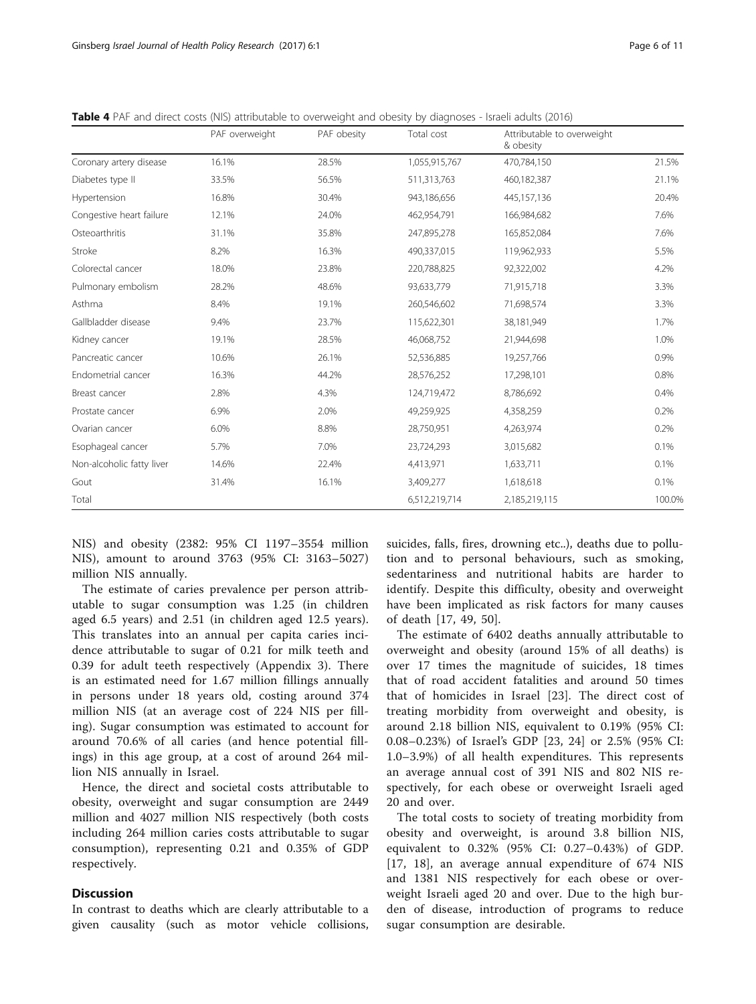|                           | PAF overweight | PAF obesity | Total cost    | Attributable to overweight<br>& obesity |        |
|---------------------------|----------------|-------------|---------------|-----------------------------------------|--------|
| Coronary artery disease   | 16.1%          | 28.5%       | 1,055,915,767 | 470,784,150                             | 21.5%  |
| Diabetes type II          | 33.5%          | 56.5%       | 511,313,763   | 460,182,387                             | 21.1%  |
| Hypertension              | 16.8%          | 30.4%       | 943,186,656   | 445,157,136                             | 20.4%  |
| Congestive heart failure  | 12.1%          | 24.0%       | 462,954,791   | 166,984,682                             | 7.6%   |
| Osteoarthritis            | 31.1%          | 35.8%       | 247,895,278   | 165,852,084                             | 7.6%   |
| Stroke                    | 8.2%           | 16.3%       | 490,337,015   | 119,962,933                             | 5.5%   |
| Colorectal cancer         | 18.0%          | 23.8%       | 220,788,825   | 92,322,002                              | 4.2%   |
| Pulmonary embolism        | 28.2%          | 48.6%       | 93,633,779    | 71,915,718                              | 3.3%   |
| Asthma                    | 8.4%           | 19.1%       | 260,546,602   | 71,698,574                              | 3.3%   |
| Gallbladder disease       | 9.4%           | 23.7%       | 115,622,301   | 38,181,949                              | 1.7%   |
| Kidney cancer             | 19.1%          | 28.5%       | 46,068,752    | 21,944,698                              | 1.0%   |
| Pancreatic cancer         | 10.6%          | 26.1%       | 52,536,885    | 19,257,766                              | 0.9%   |
| Endometrial cancer        | 16.3%          | 44.2%       | 28,576,252    | 17,298,101                              | 0.8%   |
| Breast cancer             | 2.8%           | 4.3%        | 124,719,472   | 8,786,692                               | 0.4%   |
| Prostate cancer           | 6.9%           | 2.0%        | 49,259,925    | 4,358,259                               | 0.2%   |
| Ovarian cancer            | 6.0%           | 8.8%        | 28,750,951    | 4,263,974                               | 0.2%   |
| Esophageal cancer         | 5.7%           | 7.0%        | 23,724,293    | 3,015,682                               | 0.1%   |
| Non-alcoholic fatty liver | 14.6%          | 22.4%       | 4,413,971     | 1,633,711                               | 0.1%   |
| Gout                      | 31.4%          | 16.1%       | 3,409,277     | 1,618,618                               | 0.1%   |
| Total                     |                |             | 6,512,219,714 | 2,185,219,115                           | 100.0% |

<span id="page-5-0"></span>Table 4 PAF and direct costs (NIS) attributable to overweight and obesity by diagnoses - Israeli adults (2016)

NIS) and obesity (2382: 95% CI 1197–3554 million NIS), amount to around 3763 (95% CI: 3163–5027) million NIS annually.

The estimate of caries prevalence per person attributable to sugar consumption was 1.25 (in children aged 6.5 years) and 2.51 (in children aged 12.5 years). This translates into an annual per capita caries incidence attributable to sugar of 0.21 for milk teeth and 0.39 for adult teeth respectively ([Appendix 3](#page-9-0)). There is an estimated need for 1.67 million fillings annually in persons under 18 years old, costing around 374 million NIS (at an average cost of 224 NIS per filling). Sugar consumption was estimated to account for around 70.6% of all caries (and hence potential fillings) in this age group, at a cost of around 264 million NIS annually in Israel.

Hence, the direct and societal costs attributable to obesity, overweight and sugar consumption are 2449 million and 4027 million NIS respectively (both costs including 264 million caries costs attributable to sugar consumption), representing 0.21 and 0.35% of GDP respectively.

#### **Discussion**

In contrast to deaths which are clearly attributable to a given causality (such as motor vehicle collisions,

suicides, falls, fires, drowning etc..), deaths due to pollution and to personal behaviours, such as smoking, sedentariness and nutritional habits are harder to identify. Despite this difficulty, obesity and overweight have been implicated as risk factors for many causes of death [[17,](#page-9-0) [49](#page-10-0), [50](#page-10-0)].

The estimate of 6402 deaths annually attributable to overweight and obesity (around 15% of all deaths) is over 17 times the magnitude of suicides, 18 times that of road accident fatalities and around 50 times that of homicides in Israel [[23\]](#page-10-0). The direct cost of treating morbidity from overweight and obesity, is around 2.18 billion NIS, equivalent to 0.19% (95% CI: 0.08–0.23%) of Israel's GDP [[23, 24](#page-10-0)] or 2.5% (95% CI: 1.0–3.9%) of all health expenditures. This represents an average annual cost of 391 NIS and 802 NIS respectively, for each obese or overweight Israeli aged 20 and over.

The total costs to society of treating morbidity from obesity and overweight, is around 3.8 billion NIS, equivalent to 0.32% (95% CI: 0.27–0.43%) of GDP. [[17, 18\]](#page-9-0), an average annual expenditure of 674 NIS and 1381 NIS respectively for each obese or overweight Israeli aged 20 and over. Due to the high burden of disease, introduction of programs to reduce sugar consumption are desirable.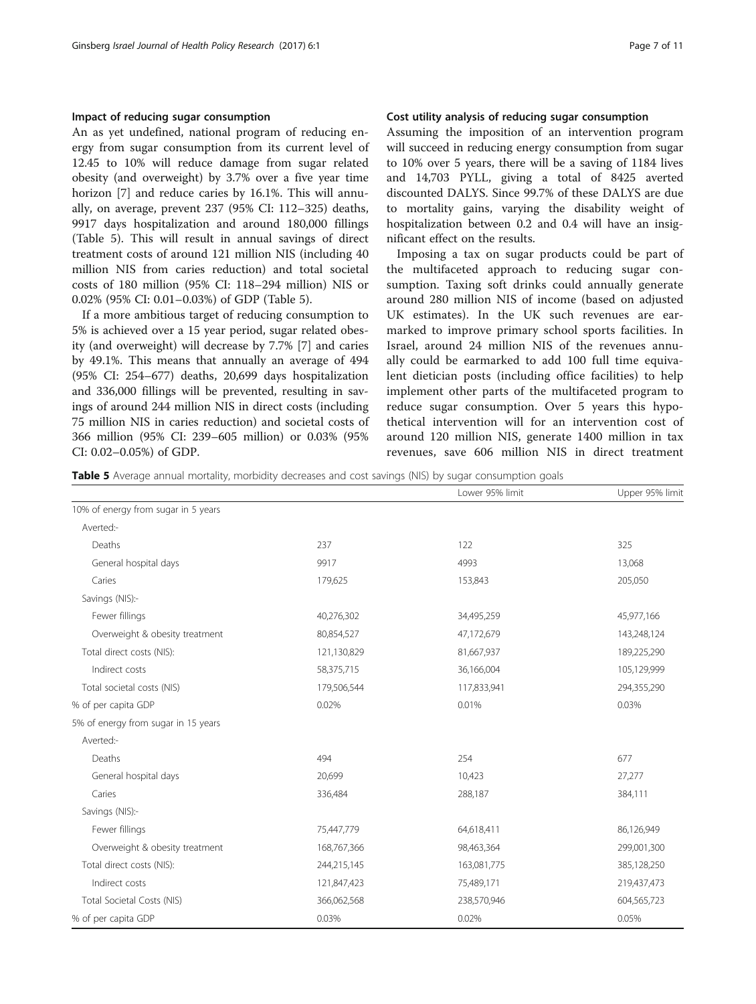### Impact of reducing sugar consumption

An as yet undefined, national program of reducing energy from sugar consumption from its current level of 12.45 to 10% will reduce damage from sugar related obesity (and overweight) by 3.7% over a five year time horizon [\[7\]](#page-9-0) and reduce caries by 16.1%. This will annually, on average, prevent 237 (95% CI: 112–325) deaths, 9917 days hospitalization and around 180,000 fillings (Table 5). This will result in annual savings of direct treatment costs of around 121 million NIS (including 40 million NIS from caries reduction) and total societal costs of 180 million (95% CI: 118–294 million) NIS or 0.02% (95% CI: 0.01–0.03%) of GDP (Table 5).

If a more ambitious target of reducing consumption to 5% is achieved over a 15 year period, sugar related obesity (and overweight) will decrease by 7.7% [\[7](#page-9-0)] and caries by 49.1%. This means that annually an average of 494 (95% CI: 254–677) deaths, 20,699 days hospitalization and 336,000 fillings will be prevented, resulting in savings of around 244 million NIS in direct costs (including 75 million NIS in caries reduction) and societal costs of 366 million (95% CI: 239–605 million) or 0.03% (95% CI: 0.02–0.05%) of GDP.

## Cost utility analysis of reducing sugar consumption

Assuming the imposition of an intervention program will succeed in reducing energy consumption from sugar to 10% over 5 years, there will be a saving of 1184 lives and 14,703 PYLL, giving a total of 8425 averted discounted DALYS. Since 99.7% of these DALYS are due to mortality gains, varying the disability weight of hospitalization between 0.2 and 0.4 will have an insignificant effect on the results.

Imposing a tax on sugar products could be part of the multifaceted approach to reducing sugar consumption. Taxing soft drinks could annually generate around 280 million NIS of income (based on adjusted UK estimates). In the UK such revenues are earmarked to improve primary school sports facilities. In Israel, around 24 million NIS of the revenues annually could be earmarked to add 100 full time equivalent dietician posts (including office facilities) to help implement other parts of the multifaceted program to reduce sugar consumption. Over 5 years this hypothetical intervention will for an intervention cost of around 120 million NIS, generate 1400 million in tax revenues, save 606 million NIS in direct treatment

**Table 5** Average annual mortality, morbidity decreases and cost savings (NIS) by sugar consumption goals

|                                     |             | Lower 95% limit | Upper 95% limit |
|-------------------------------------|-------------|-----------------|-----------------|
| 10% of energy from sugar in 5 years |             |                 |                 |
| Averted:-                           |             |                 |                 |
| Deaths                              | 237         | 122             | 325             |
| General hospital days               | 9917        | 4993            | 13,068          |
| Caries                              | 179,625     | 153,843         | 205,050         |
| Savings (NIS):-                     |             |                 |                 |
| Fewer fillings                      | 40,276,302  | 34,495,259      | 45,977,166      |
| Overweight & obesity treatment      | 80,854,527  | 47,172,679      | 143,248,124     |
| Total direct costs (NIS):           | 121,130,829 | 81,667,937      | 189,225,290     |
| Indirect costs                      | 58,375,715  | 36,166,004      | 105,129,999     |
| Total societal costs (NIS)          | 179,506,544 | 117,833,941     | 294,355,290     |
| % of per capita GDP                 | 0.02%       | 0.01%           | 0.03%           |
| 5% of energy from sugar in 15 years |             |                 |                 |
| Averted:-                           |             |                 |                 |
| Deaths                              | 494         | 254             | 677             |
| General hospital days               | 20,699      | 10,423          | 27,277          |
| Caries                              | 336,484     | 288,187         | 384,111         |
| Savings (NIS):-                     |             |                 |                 |
| Fewer fillings                      | 75,447,779  | 64,618,411      | 86,126,949      |
| Overweight & obesity treatment      | 168,767,366 | 98,463,364      | 299,001,300     |
| Total direct costs (NIS):           | 244,215,145 | 163,081,775     | 385,128,250     |
| Indirect costs                      | 121,847,423 | 75,489,171      | 219,437,473     |
| Total Societal Costs (NIS)          | 366,062,568 | 238,570,946     | 604,565,723     |
| % of per capita GDP                 | 0.03%       | 0.02%           | 0.05%           |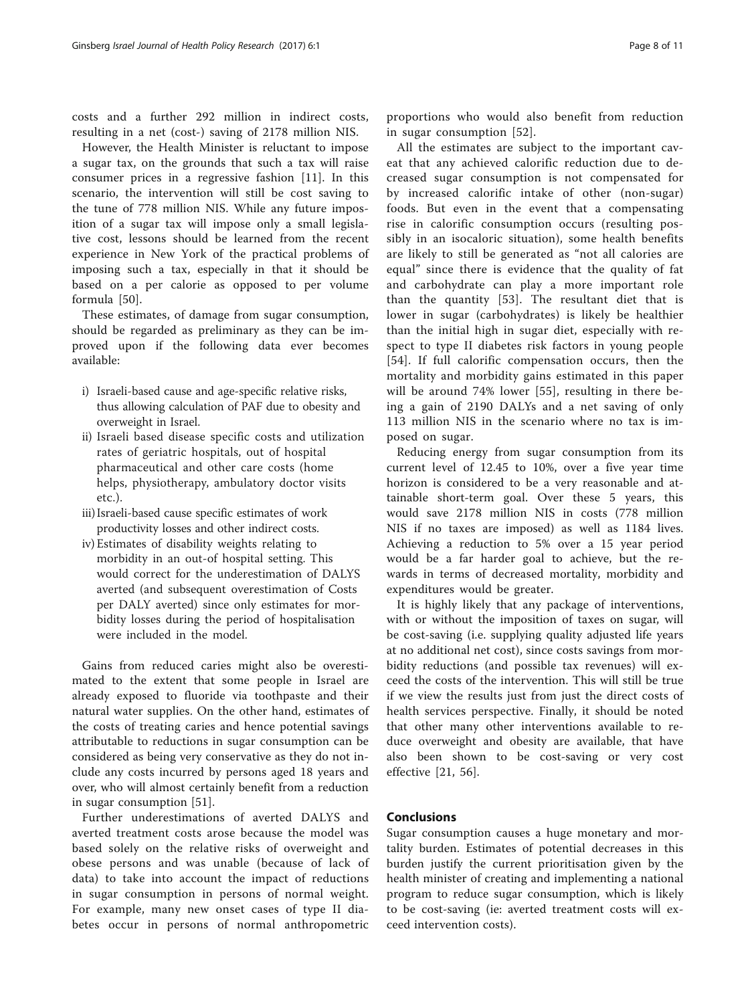costs and a further 292 million in indirect costs, resulting in a net (cost-) saving of 2178 million NIS.

However, the Health Minister is reluctant to impose a sugar tax, on the grounds that such a tax will raise consumer prices in a regressive fashion [[11\]](#page-9-0). In this scenario, the intervention will still be cost saving to the tune of 778 million NIS. While any future imposition of a sugar tax will impose only a small legislative cost, lessons should be learned from the recent experience in New York of the practical problems of imposing such a tax, especially in that it should be based on a per calorie as opposed to per volume formula [[50\]](#page-10-0).

These estimates, of damage from sugar consumption, should be regarded as preliminary as they can be improved upon if the following data ever becomes available:

- i) Israeli-based cause and age-specific relative risks, thus allowing calculation of PAF due to obesity and overweight in Israel.
- ii) Israeli based disease specific costs and utilization rates of geriatric hospitals, out of hospital pharmaceutical and other care costs (home helps, physiotherapy, ambulatory doctor visits etc.).
- iii) Israeli-based cause specific estimates of work productivity losses and other indirect costs.
- iv) Estimates of disability weights relating to morbidity in an out-of hospital setting. This would correct for the underestimation of DALYS averted (and subsequent overestimation of Costs per DALY averted) since only estimates for morbidity losses during the period of hospitalisation were included in the model.

Gains from reduced caries might also be overestimated to the extent that some people in Israel are already exposed to fluoride via toothpaste and their natural water supplies. On the other hand, estimates of the costs of treating caries and hence potential savings attributable to reductions in sugar consumption can be considered as being very conservative as they do not include any costs incurred by persons aged 18 years and over, who will almost certainly benefit from a reduction in sugar consumption [[51\]](#page-10-0).

Further underestimations of averted DALYS and averted treatment costs arose because the model was based solely on the relative risks of overweight and obese persons and was unable (because of lack of data) to take into account the impact of reductions in sugar consumption in persons of normal weight. For example, many new onset cases of type II diabetes occur in persons of normal anthropometric

proportions who would also benefit from reduction in sugar consumption [[52\]](#page-10-0).

All the estimates are subject to the important caveat that any achieved calorific reduction due to decreased sugar consumption is not compensated for by increased calorific intake of other (non-sugar) foods. But even in the event that a compensating rise in calorific consumption occurs (resulting possibly in an isocaloric situation), some health benefits are likely to still be generated as "not all calories are equal" since there is evidence that the quality of fat and carbohydrate can play a more important role than the quantity [[53\]](#page-10-0). The resultant diet that is lower in sugar (carbohydrates) is likely be healthier than the initial high in sugar diet, especially with respect to type II diabetes risk factors in young people [[54](#page-10-0)]. If full calorific compensation occurs, then the mortality and morbidity gains estimated in this paper will be around 74% lower [[55](#page-10-0)], resulting in there being a gain of 2190 DALYs and a net saving of only 113 million NIS in the scenario where no tax is imposed on sugar.

Reducing energy from sugar consumption from its current level of 12.45 to 10%, over a five year time horizon is considered to be a very reasonable and attainable short-term goal. Over these 5 years, this would save 2178 million NIS in costs (778 million NIS if no taxes are imposed) as well as 1184 lives. Achieving a reduction to 5% over a 15 year period would be a far harder goal to achieve, but the rewards in terms of decreased mortality, morbidity and expenditures would be greater.

It is highly likely that any package of interventions, with or without the imposition of taxes on sugar, will be cost-saving (i.e. supplying quality adjusted life years at no additional net cost), since costs savings from morbidity reductions (and possible tax revenues) will exceed the costs of the intervention. This will still be true if we view the results just from just the direct costs of health services perspective. Finally, it should be noted that other many other interventions available to reduce overweight and obesity are available, that have also been shown to be cost-saving or very cost effective [\[21](#page-9-0), [56\]](#page-10-0).

# Conclusions

Sugar consumption causes a huge monetary and mortality burden. Estimates of potential decreases in this burden justify the current prioritisation given by the health minister of creating and implementing a national program to reduce sugar consumption, which is likely to be cost-saving (ie: averted treatment costs will exceed intervention costs).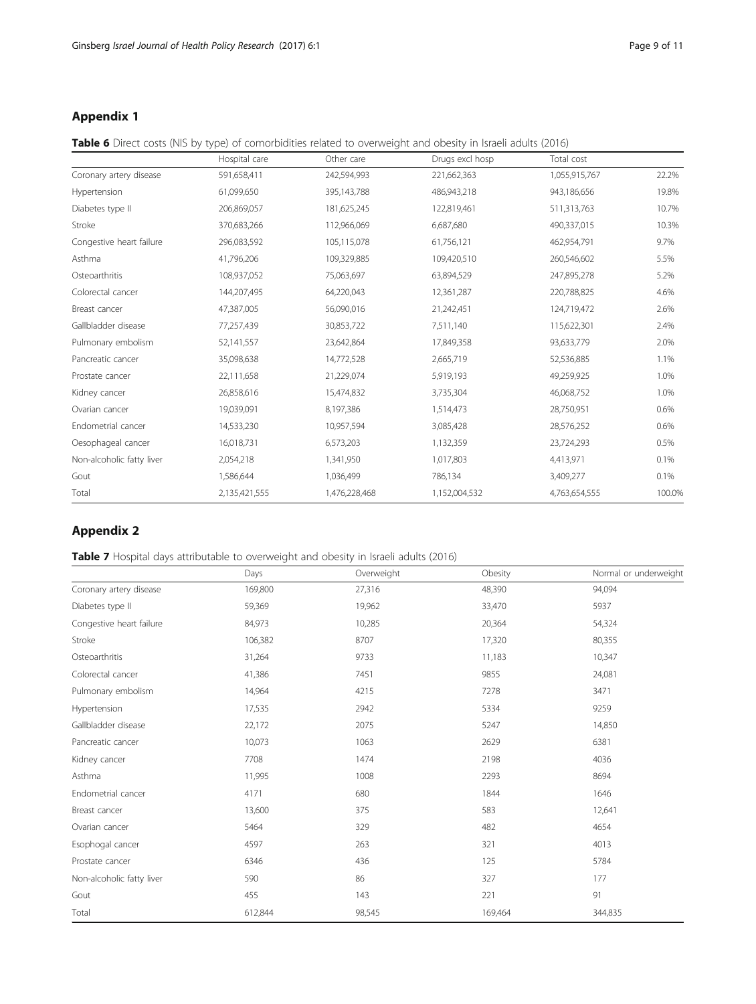# <span id="page-8-0"></span>Appendix 1

Table 6 Direct costs (NIS by type) of comorbidities related to overweight and obesity in Israeli adults (2016)

|                           | Hospital care | Other care    | Drugs excl hosp | Total cost    |        |
|---------------------------|---------------|---------------|-----------------|---------------|--------|
| Coronary artery disease   | 591,658,411   | 242,594,993   | 221,662,363     | 1,055,915,767 | 22.2%  |
| Hypertension              | 61,099,650    | 395,143,788   | 486,943,218     | 943,186,656   | 19.8%  |
| Diabetes type II          | 206,869,057   | 181,625,245   | 122,819,461     | 511,313,763   | 10.7%  |
| Stroke                    | 370,683,266   | 112,966,069   | 6,687,680       | 490,337,015   | 10.3%  |
| Congestive heart failure  | 296,083,592   | 105,115,078   | 61,756,121      | 462,954,791   | 9.7%   |
| Asthma                    | 41,796,206    | 109,329,885   | 109,420,510     | 260,546,602   | 5.5%   |
| Osteoarthritis            | 108,937,052   | 75,063,697    | 63,894,529      | 247,895,278   | 5.2%   |
| Colorectal cancer         | 144,207,495   | 64,220,043    | 12,361,287      | 220,788,825   | 4.6%   |
| Breast cancer             | 47,387,005    | 56,090,016    | 21,242,451      | 124,719,472   | 2.6%   |
| Gallbladder disease       | 77,257,439    | 30,853,722    | 7,511,140       | 115,622,301   | 2.4%   |
| Pulmonary embolism        | 52,141,557    | 23,642,864    | 17,849,358      | 93,633,779    | 2.0%   |
| Pancreatic cancer         | 35,098,638    | 14,772,528    | 2,665,719       | 52,536,885    | 1.1%   |
| Prostate cancer           | 22,111,658    | 21,229,074    | 5,919,193       | 49,259,925    | 1.0%   |
| Kidney cancer             | 26,858,616    | 15,474,832    | 3,735,304       | 46,068,752    | 1.0%   |
| Ovarian cancer            | 19,039,091    | 8,197,386     | 1,514,473       | 28,750,951    | 0.6%   |
| Endometrial cancer        | 14,533,230    | 10,957,594    | 3,085,428       | 28,576,252    | 0.6%   |
| Oesophageal cancer        | 16,018,731    | 6,573,203     | 1,132,359       | 23,724,293    | 0.5%   |
| Non-alcoholic fatty liver | 2,054,218     | 1,341,950     | 1,017,803       | 4,413,971     | 0.1%   |
| Gout                      | 1,586,644     | 1,036,499     | 786,134         | 3,409,277     | 0.1%   |
| Total                     | 2,135,421,555 | 1,476,228,468 | 1,152,004,532   | 4,763,654,555 | 100.0% |

# Appendix 2

Table 7 Hospital days attributable to overweight and obesity in Israeli adults (2016)

|                           | Days    | Overweight | Obesity | Normal or underweight |
|---------------------------|---------|------------|---------|-----------------------|
| Coronary artery disease   | 169,800 | 27,316     | 48,390  | 94,094                |
| Diabetes type II          | 59,369  | 19,962     | 33,470  | 5937                  |
| Congestive heart failure  | 84,973  | 10,285     | 20,364  | 54,324                |
| Stroke                    | 106,382 | 8707       | 17,320  | 80,355                |
| Osteoarthritis            | 31,264  | 9733       | 11,183  | 10,347                |
| Colorectal cancer         | 41,386  | 7451       | 9855    | 24,081                |
| Pulmonary embolism        | 14,964  | 4215       | 7278    | 3471                  |
| Hypertension              | 17,535  | 2942       | 5334    | 9259                  |
| Gallbladder disease       | 22,172  | 2075       | 5247    | 14,850                |
| Pancreatic cancer         | 10,073  | 1063       | 2629    | 6381                  |
| Kidney cancer             | 7708    | 1474       | 2198    | 4036                  |
| Asthma                    | 11,995  | 1008       | 2293    | 8694                  |
| Endometrial cancer        | 4171    | 680        | 1844    | 1646                  |
| Breast cancer             | 13,600  | 375        | 583     | 12,641                |
| Ovarian cancer            | 5464    | 329        | 482     | 4654                  |
| Esophogal cancer          | 4597    | 263        | 321     | 4013                  |
| Prostate cancer           | 6346    | 436        | 125     | 5784                  |
| Non-alcoholic fatty liver | 590     | 86         | 327     | 177                   |
| Gout                      | 455     | 143        | 221     | 91                    |
| Total                     | 612,844 | 98,545     | 169,464 | 344,835               |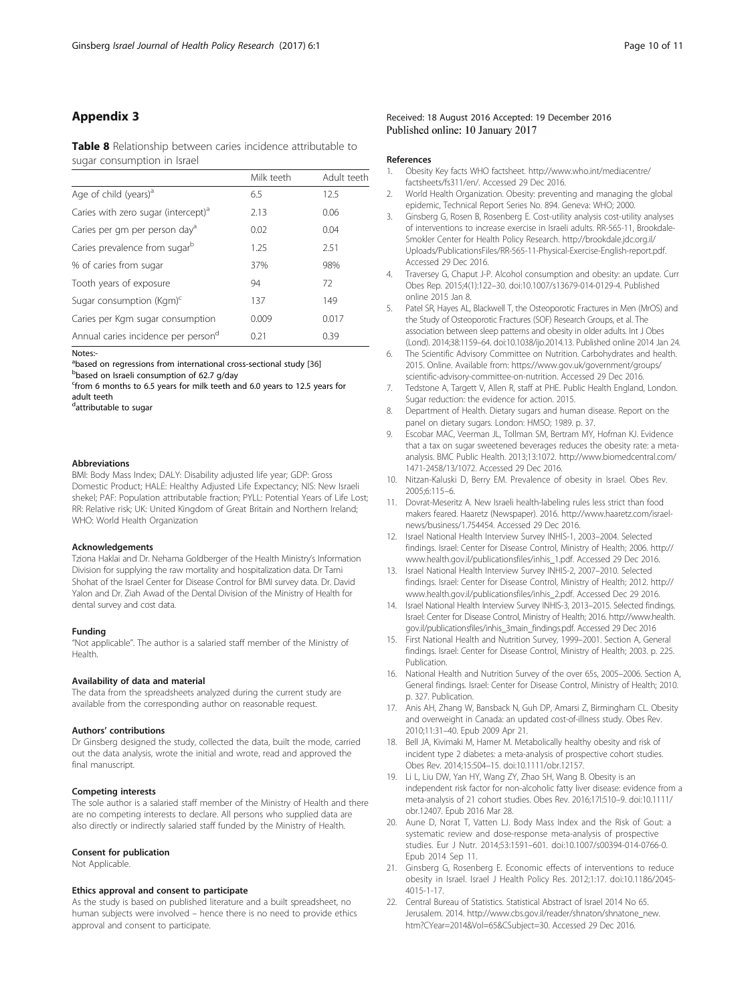## <span id="page-9-0"></span>Appendix 3

Table 8 Relationship between caries incidence attributable to sugar consumption in Israel

|                                                 | Milk teeth | Adult teeth |
|-------------------------------------------------|------------|-------------|
| Age of child (years) <sup>a</sup>               | 6.5        | 12.5        |
| Caries with zero sugar (intercept) <sup>a</sup> | 2.13       | 0.06        |
| Caries per gm per person day <sup>a</sup>       | 0.02       | 0.04        |
| Caries prevalence from sugarb                   | 1.25       | 2.51        |
| % of caries from sugar                          | 37%        | 98%         |
| Tooth years of exposure                         | 94         | 72          |
| Sugar consumption ( $Kgm$ ) <sup>c</sup>        | 137        | 149         |
| Caries per Kgm sugar consumption                | 0.009      | 0.017       |
| Annual caries incidence per persond             | 0.21       | 0.39        |

Notes:

a<br>based on regressions from international cross-sectional study [\[36](#page-10-0)]<br>based on Israeli consumption of 62.7 g/day based on Israeli consumption of 62.7 g/day

from 6 months to 6.5 years for milk teeth and 6.0 years to 12.5 years for adult teeth

<sup>d</sup>attributable to sugar

#### Abbreviations

BMI: Body Mass Index; DALY: Disability adjusted life year; GDP: Gross Domestic Product; HALE: Healthy Adjusted Life Expectancy; NIS: New Israeli shekel; PAF: Population attributable fraction; PYLL: Potential Years of Life Lost; RR: Relative risk; UK: United Kingdom of Great Britain and Northern Ireland; WHO: World Health Organization

#### Acknowledgements

Tziona Haklai and Dr. Nehama Goldberger of the Health Ministry's Information Division for supplying the raw mortality and hospitalization data. Dr Tami Shohat of the Israel Center for Disease Control for BMI survey data. Dr. David Yalon and Dr. Ziah Awad of the Dental Division of the Ministry of Health for dental survey and cost data.

#### Funding

"Not applicable". The author is a salaried staff member of the Ministry of Health.

#### Availability of data and material

The data from the spreadsheets analyzed during the current study are available from the corresponding author on reasonable request.

#### Authors' contributions

Dr Ginsberg designed the study, collected the data, built the mode, carried out the data analysis, wrote the initial and wrote, read and approved the final manuscript.

#### Competing interests

The sole author is a salaried staff member of the Ministry of Health and there are no competing interests to declare. All persons who supplied data are also directly or indirectly salaried staff funded by the Ministry of Health.

#### Consent for publication

Not Applicable.

#### Ethics approval and consent to participate

As the study is based on published literature and a built spreadsheet, no human subjects were involved – hence there is no need to provide ethics approval and consent to participate.

#### Received: 18 August 2016 Accepted: 19 December 2016 Published online: 10 January 2017

#### References

- 1. Obesity Key facts WHO factsheet. [http://www.who.int/mediacentre/](http://www.who.int/mediacentre/factsheets/fs311/en/) [factsheets/fs311/en/](http://www.who.int/mediacentre/factsheets/fs311/en/). Accessed 29 Dec 2016.
- 2. World Health Organization. Obesity: preventing and managing the global epidemic, Technical Report Series No. 894. Geneva: WHO; 2000.
- 3. Ginsberg G, Rosen B, Rosenberg E. Cost-utility analysis cost-utility analyses of interventions to increase exercise in Israeli adults. RR-565-11, Brookdale-Smokler Center for Health Policy Research. [http://brookdale.jdc.org.il/](http://brookdale.jdc.org.il/Uploads/PublicationsFiles/RR-565-11-Physical-Exercise-English-report.pdf) [Uploads/PublicationsFiles/RR-565-11-Physical-Exercise-English-report.pdf.](http://brookdale.jdc.org.il/Uploads/PublicationsFiles/RR-565-11-Physical-Exercise-English-report.pdf) Accessed 29 Dec 2016.
- 4. Traversey G, Chaput J-P. Alcohol consumption and obesity: an update. Curr Obes Rep. 2015;4(1):122–30. doi[:10.1007/s13679-014-0129-4.](http://dx.doi.org/10.1007/s13679-014-0129-4) Published online 2015 Jan 8.
- 5. Patel SR, Hayes AL, Blackwell T, the Osteoporotic Fractures in Men (MrOS) and the Study of Osteoporotic Fractures (SOF) Research Groups, et al. The association between sleep patterns and obesity in older adults. Int J Obes (Lond). 2014;38:1159–64. doi[:10.1038/ijo.2014.13](http://dx.doi.org/10.1038/ijo.2014.13). Published online 2014 Jan 24.
- 6. The Scientific Advisory Committee on Nutrition. Carbohydrates and health. 2015. Online. Available from: [https://www.gov.uk/government/groups/](https://www.gov.uk/government/groups/scientific-advisory-committee-on-nutrition) [scientific-advisory-committee-on-nutrition.](https://www.gov.uk/government/groups/scientific-advisory-committee-on-nutrition) Accessed 29 Dec 2016.
- 7. Tedstone A, Targett V, Allen R, staff at PHE. Public Health England, London. Sugar reduction: the evidence for action. 2015.
- 8. Department of Health. Dietary sugars and human disease. Report on the panel on dietary sugars. London: HMSO; 1989. p. 37.
- 9. Escobar MAC, Veerman JL, Tollman SM, Bertram MY, Hofman KJ. Evidence that a tax on sugar sweetened beverages reduces the obesity rate: a metaanalysis. BMC Public Health. 2013;13:1072. [http://www.biomedcentral.com/](http://www.biomedcentral.com/1471-2458/13/1072) [1471-2458/13/1072](http://www.biomedcentral.com/1471-2458/13/1072). Accessed 29 Dec 2016.
- 10. Nitzan-Kaluski D, Berry EM. Prevalence of obesity in Israel. Obes Rev. 2005;6:115–6.
- 11. Dovrat-Meseritz A. New Israeli health-labeling rules less strict than food makers feared. Haaretz (Newspaper). 2016. [http://www.haaretz.com/israel](http://www.haaretz.com/israel-news/business/1.754454)[news/business/1.754454.](http://www.haaretz.com/israel-news/business/1.754454) Accessed 29 Dec 2016.
- 12. Israel National Health Interview Survey INHIS-1, 2003–2004. Selected findings. Israel: Center for Disease Control, Ministry of Health; 2006. [http://](http://www.health.gov.il/publicationsfiles/inhis_1.pdf) [www.health.gov.il/publicationsfiles/inhis\\_1.pdf](http://www.health.gov.il/publicationsfiles/inhis_1.pdf). Accessed 29 Dec 2016.
- 13. Israel National Health Interview Survey INHIS-2, 2007–2010. Selected findings. Israel: Center for Disease Control, Ministry of Health; 2012. [http://](http://www.health.gov.il/publicationsfiles/inhis_2.pdf) [www.health.gov.il/publicationsfiles/inhis\\_2.pdf](http://www.health.gov.il/publicationsfiles/inhis_2.pdf). Accessed Dec 29 2016.
- 14. Israel National Health Interview Survey INHIS-3, 2013–2015. Selected findings. Israel: Center for Disease Control, Ministry of Health; 2016. [http://www.health.](http://www.health.gov.il/publicationsfiles/inhis_3main_findings.pdf) [gov.il/publicationsfiles/inhis\\_3main\\_findings.pdf.](http://www.health.gov.il/publicationsfiles/inhis_3main_findings.pdf) Accessed 29 Dec 2016
- 15. First National Health and Nutrition Survey, 1999–2001. Section A, General findings. Israel: Center for Disease Control, Ministry of Health; 2003. p. 225. Publication.
- 16. National Health and Nutrition Survey of the over 65s, 2005–2006. Section A, General findings. Israel: Center for Disease Control, Ministry of Health; 2010. p. 327. Publication.
- 17. Anis AH, Zhang W, Bansback N, Guh DP, Amarsi Z, Birmingham CL. Obesity and overweight in Canada: an updated cost-of-illness study. Obes Rev. 2010;11:31–40. Epub 2009 Apr 21.
- 18. Bell JA, Kivimaki M, Hamer M. Metabolically healthy obesity and risk of incident type 2 diabetes: a meta-analysis of prospective cohort studies. Obes Rev. 2014;15:504–15. doi[:10.1111/obr.12157](http://dx.doi.org/10.1111/obr.12157).
- 19. Li L, Liu DW, Yan HY, Wang ZY, Zhao SH, Wang B. Obesity is an independent risk factor for non-alcoholic fatty liver disease: evidence from a meta-analysis of 21 cohort studies. Obes Rev. 2016;17l:510–9. doi[:10.1111/](http://dx.doi.org/10.1111/obr.12407) [obr.12407.](http://dx.doi.org/10.1111/obr.12407) Epub 2016 Mar 28.
- 20. Aune D, Norat T, Vatten LJ. Body Mass Index and the Risk of Gout: a systematic review and dose-response meta-analysis of prospective studies. Eur J Nutr. 2014;53:1591–601. doi[:10.1007/s00394-014-0766-0.](http://dx.doi.org/10.1007/s00394-014-0766-0) Epub 2014 Sep 11.
- 21. Ginsberg G, Rosenberg E. Economic effects of interventions to reduce obesity in Israel. Israel J Health Policy Res. 2012;1:17. doi[:10.1186/2045-](http://dx.doi.org/10.1186/2045-4015-1-17) [4015-1-17.](http://dx.doi.org/10.1186/2045-4015-1-17)
- 22. Central Bureau of Statistics. Statistical Abstract of Israel 2014 No 65. Jerusalem. 2014. [http://www.cbs.gov.il/reader/shnaton/shnatone\\_new.](http://www.cbs.gov.il/reader/shnaton/shnatone_new.htm?CYear=2014&Vol=65&CSubject=30) [htm?CYear=2014&Vol=65&CSubject=30](http://www.cbs.gov.il/reader/shnaton/shnatone_new.htm?CYear=2014&Vol=65&CSubject=30). Accessed 29 Dec 2016.